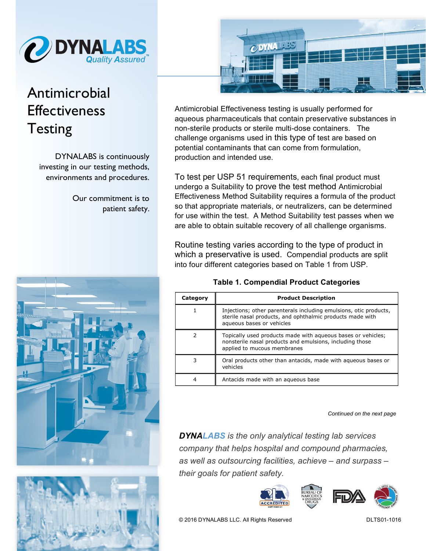

## Antimicrobial Effectiveness **Testing**

DYNALABS is continuously investing in our testing methods, environments and procedures.

> Our commitment is to patient safety.







Antimicrobial Effectiveness testing is usually performed for aqueous pharmaceuticals that contain preservative substances in non-sterile products or sterile multi-dose containers. The challenge organisms used in this type of test are based on potential contaminants that can come from formulation, production and intended use.

To test per USP 51 requirements, each final product must undergo a Suitability to prove the test method Antimicrobial Effectiveness Method Suitability requires a formula of the product so that appropriate materials, or neutralizers, can be determined for use within the test. A Method Suitability test passes when we are able to obtain suitable recovery of all challenge organisms.

Routine testing varies according to the type of product in which a preservative is used. Compendial products are split into four different categories based on Table 1 from USP.

| Category | <b>Product Description</b>                                                                                                                                  |
|----------|-------------------------------------------------------------------------------------------------------------------------------------------------------------|
|          | Injections; other parenterals including emulsions, otic products,<br>sterile nasal products, and ophthalmic products made with<br>aqueous bases or vehicles |
| 2        | Topically used products made with agueous bases or vehicles;<br>nonsterile nasal products and emulsions, including those<br>applied to mucous membranes     |
| 3        | Oral products other than antacids, made with aqueous bases or<br>vehicles                                                                                   |
|          | Antacids made with an agueous base                                                                                                                          |

## **Table 1. Compendial Product Categories**

*Continued on the next page* 

*DYNALABS is the only analytical testing lab services company that helps hospital and compound pharmacies, as well as outsourcing facilities, achieve – and surpass – their goals for patient safety.*







© 2016 DYNALABS LLC. All Rights Reserved DLTS01-1016